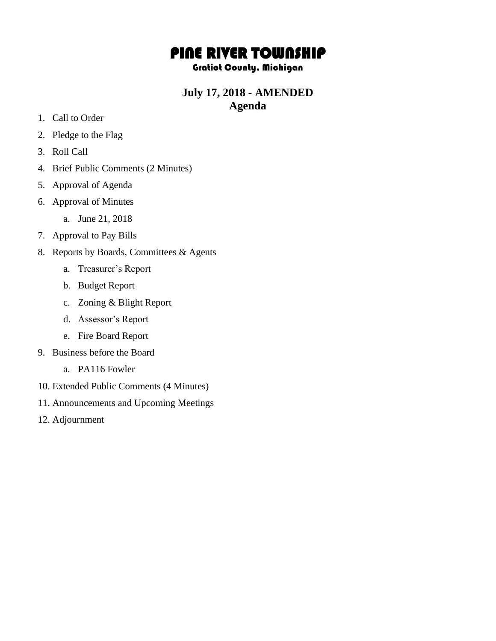# PINE RIVER TOWNSHIP

#### Gratiot County, Michigan

### **July 17, 2018 - AMENDED Agenda**

- 1. Call to Order
- 2. Pledge to the Flag
- 3. Roll Call
- 4. Brief Public Comments (2 Minutes)
- 5. Approval of Agenda
- 6. Approval of Minutes
	- a. June 21, 2018
- 7. Approval to Pay Bills
- 8. Reports by Boards, Committees & Agents
	- a. Treasurer's Report
	- b. Budget Report
	- c. Zoning & Blight Report
	- d. Assessor's Report
	- e. Fire Board Report
- 9. Business before the Board
	- a. PA116 Fowler
- 10. Extended Public Comments (4 Minutes)
- 11. Announcements and Upcoming Meetings
- 12. Adjournment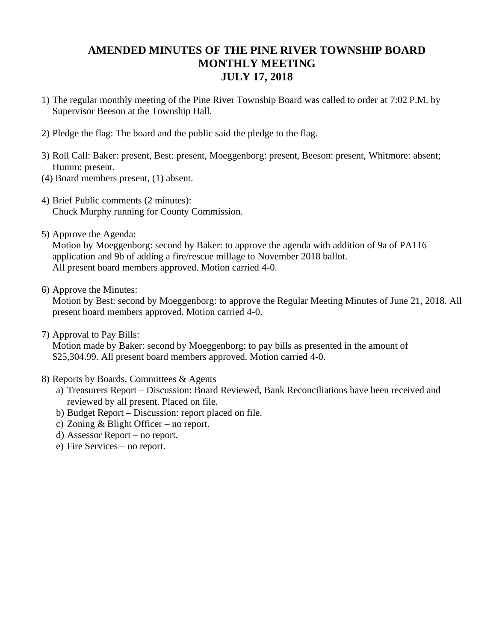## **AMENDED MINUTES OF THE PINE RIVER TOWNSHIP BOARD MONTHLY MEETING JULY 17, 2018**

- 1) The regular monthly meeting of the Pine River Township Board was called to order at 7:02 P.M. by Supervisor Beeson at the Township Hall.
- 2) Pledge the flag: The board and the public said the pledge to the flag.
- 3) Roll Call: Baker: present, Best: present, Moeggenborg: present, Beeson: present, Whitmore: absent; Humm: present.
- (4) Board members present, (1) absent.
- 4) Brief Public comments (2 minutes): Chuck Murphy running for County Commission.
- 5) Approve the Agenda:

Motion by Moeggenborg: second by Baker: to approve the agenda with addition of 9a of PA116 application and 9b of adding a fire/rescue millage to November 2018 ballot. All present board members approved. Motion carried 4-0.

6) Approve the Minutes:

Motion by Best: second by Moeggenborg: to approve the Regular Meeting Minutes of June 21, 2018. All present board members approved. Motion carried 4-0.

7) Approval to Pay Bills:

Motion made by Baker: second by Moeggenborg: to pay bills as presented in the amount of \$25,304.99. All present board members approved. Motion carried 4-0.

- 8) Reports by Boards, Committees & Agents
	- a) Treasurers Report Discussion: Board Reviewed, Bank Reconciliations have been received and reviewed by all present. Placed on file.
	- b) Budget Report Discussion: report placed on file.
	- c) Zoning & Blight Officer no report.
	- d) Assessor Report no report.
	- e) Fire Services no report.